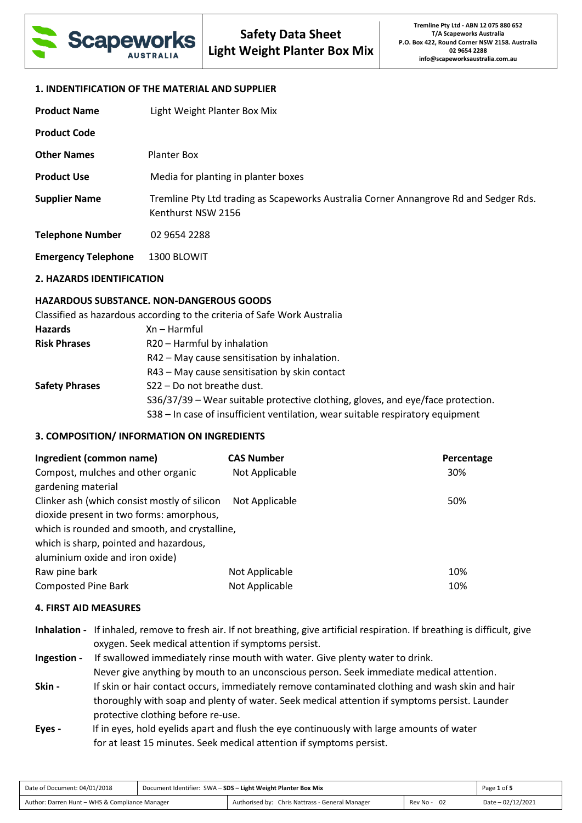

### **1. INDENTIFICATION OF THE MATERIAL AND SUPPLIER**

| <b>Product Name</b>        | Light Weight Planter Box Mix                                                                                |
|----------------------------|-------------------------------------------------------------------------------------------------------------|
| <b>Product Code</b>        |                                                                                                             |
| <b>Other Names</b>         | <b>Planter Box</b>                                                                                          |
| <b>Product Use</b>         | Media for planting in planter boxes                                                                         |
| <b>Supplier Name</b>       | Tremline Pty Ltd trading as Scapeworks Australia Corner Annangrove Rd and Sedger Rds.<br>Kenthurst NSW 2156 |
| <b>Telephone Number</b>    | 02 9654 2288                                                                                                |
| <b>Emergency Telephone</b> | 1300 BLOWIT                                                                                                 |

### **2. HAZARDS IDENTIFICATION**

## **HAZARDOUS SUBSTANCE. NON-DANGEROUS GOODS**

Classified as hazardous according to the criteria of Safe Work Australia

| <b>Hazards</b>        | $Xn - Harmful$                                                                  |
|-----------------------|---------------------------------------------------------------------------------|
| <b>Risk Phrases</b>   | R20 - Harmful by inhalation                                                     |
|                       | R42 - May cause sensitisation by inhalation.                                    |
|                       | R43 - May cause sensitisation by skin contact                                   |
| <b>Safety Phrases</b> | S22 - Do not breathe dust.                                                      |
|                       | S36/37/39 - Wear suitable protective clothing, gloves, and eye/face protection. |
|                       | S38 - In case of insufficient ventilation, wear suitable respiratory equipment  |

## **3. COMPOSITION/ INFORMATION ON INGREDIENTS**

| Ingredient (common name)                                                                                                                  | <b>CAS Number</b> | Percentage |
|-------------------------------------------------------------------------------------------------------------------------------------------|-------------------|------------|
| Compost, mulches and other organic<br>gardening material                                                                                  | Not Applicable    | 30%        |
| Clinker ash (which consist mostly of silicon<br>dioxide present in two forms: amorphous,<br>which is rounded and smooth, and crystalline, | Not Applicable    | 50%        |
| which is sharp, pointed and hazardous,<br>aluminium oxide and iron oxide)                                                                 |                   |            |
| Raw pine bark                                                                                                                             | Not Applicable    | 10%        |
| <b>Composted Pine Bark</b>                                                                                                                | Not Applicable    | 10%        |

#### **4. FIRST AID MEASURES**

| Inhalation - If inhaled, remove to fresh air. If not breathing, give artificial respiration. If breathing is difficult, give |
|------------------------------------------------------------------------------------------------------------------------------|
| oxygen. Seek medical attention if symptoms persist.                                                                          |

**Ingestion -** If swallowed immediately rinse mouth with water. Give plenty water to drink. Never give anything by mouth to an unconscious person. Seek immediate medical attention. **Skin - If skin or hair contact occurs, immediately remove contaminated clothing and wash skin and hair**  thoroughly with soap and plenty of water. Seek medical attention if symptoms persist. Launder protective clothing before re-use.

**Eyes -** If in eyes, hold eyelids apart and flush the eye continuously with large amounts of water for at least 15 minutes. Seek medical attention if symptoms persist.

| Date of Document: 04/01/2018                   | Document Identifier: SWA - SDS - Light Weight Planter Box Mix |                                                 |             | Page 1 of 5       |
|------------------------------------------------|---------------------------------------------------------------|-------------------------------------------------|-------------|-------------------|
| Author: Darren Hunt - WHS & Compliance Manager |                                                               | Authorised by: Chris Nattrass - General Manager | Rev No - 02 | Date - 02/12/2021 |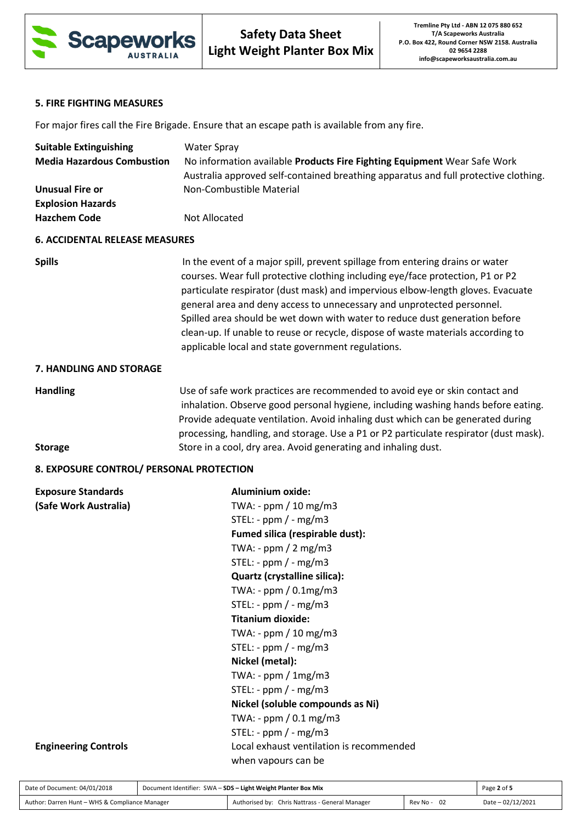

# **5. FIRE FIGHTING MEASURES**

For major fires call the Fire Brigade. Ensure that an escape path is available from any fire.

| <b>Suitable Extinguishing</b>            | <b>Water Spray</b>                                                                                                                                                                                                                                                                                                                                                                                                                                                                                                                                    |  |  |
|------------------------------------------|-------------------------------------------------------------------------------------------------------------------------------------------------------------------------------------------------------------------------------------------------------------------------------------------------------------------------------------------------------------------------------------------------------------------------------------------------------------------------------------------------------------------------------------------------------|--|--|
| <b>Media Hazardous Combustion</b>        | No information available Products Fire Fighting Equipment Wear Safe Work                                                                                                                                                                                                                                                                                                                                                                                                                                                                              |  |  |
|                                          | Australia approved self-contained breathing apparatus and full protective clothing.                                                                                                                                                                                                                                                                                                                                                                                                                                                                   |  |  |
| <b>Unusual Fire or</b>                   | Non-Combustible Material                                                                                                                                                                                                                                                                                                                                                                                                                                                                                                                              |  |  |
| <b>Explosion Hazards</b>                 |                                                                                                                                                                                                                                                                                                                                                                                                                                                                                                                                                       |  |  |
| <b>Hazchem Code</b>                      | Not Allocated                                                                                                                                                                                                                                                                                                                                                                                                                                                                                                                                         |  |  |
| <b>6. ACCIDENTAL RELEASE MEASURES</b>    |                                                                                                                                                                                                                                                                                                                                                                                                                                                                                                                                                       |  |  |
| <b>Spills</b>                            | In the event of a major spill, prevent spillage from entering drains or water<br>courses. Wear full protective clothing including eye/face protection, P1 or P2<br>particulate respirator (dust mask) and impervious elbow-length gloves. Evacuate<br>general area and deny access to unnecessary and unprotected personnel.<br>Spilled area should be wet down with water to reduce dust generation before<br>clean-up. If unable to reuse or recycle, dispose of waste materials according to<br>applicable local and state government regulations. |  |  |
| 7. HANDLING AND STORAGE                  |                                                                                                                                                                                                                                                                                                                                                                                                                                                                                                                                                       |  |  |
| <b>Handling</b>                          | Use of safe work practices are recommended to avoid eye or skin contact and<br>inhalation. Observe good personal hygiene, including washing hands before eating.<br>Provide adequate ventilation. Avoid inhaling dust which can be generated during<br>processing, handling, and storage. Use a P1 or P2 particulate respirator (dust mask).                                                                                                                                                                                                          |  |  |
| <b>Storage</b>                           | Store in a cool, dry area. Avoid generating and inhaling dust.                                                                                                                                                                                                                                                                                                                                                                                                                                                                                        |  |  |
| 8. EXPOSURE CONTROL/ PERSONAL PROTECTION |                                                                                                                                                                                                                                                                                                                                                                                                                                                                                                                                                       |  |  |
| <b>Exposure Standards</b>                | <b>Aluminium oxide:</b>                                                                                                                                                                                                                                                                                                                                                                                                                                                                                                                               |  |  |
| (Safe Work Australia)                    | TWA: - ppm / 10 mg/m3                                                                                                                                                                                                                                                                                                                                                                                                                                                                                                                                 |  |  |
|                                          | STEL: - $ppm$ / - $mg/m3$                                                                                                                                                                                                                                                                                                                                                                                                                                                                                                                             |  |  |
|                                          | Fumed silica (respirable dust):                                                                                                                                                                                                                                                                                                                                                                                                                                                                                                                       |  |  |
|                                          | TWA: - $ppm / 2 mg/m3$                                                                                                                                                                                                                                                                                                                                                                                                                                                                                                                                |  |  |
|                                          | STEL: - $ppm / - mg/m3$                                                                                                                                                                                                                                                                                                                                                                                                                                                                                                                               |  |  |
|                                          | Quartz (crystalline silica):                                                                                                                                                                                                                                                                                                                                                                                                                                                                                                                          |  |  |
|                                          | TWA: - ppm / 0.1mg/m3                                                                                                                                                                                                                                                                                                                                                                                                                                                                                                                                 |  |  |
|                                          | STEL: - ppm $/$ - mg/m3                                                                                                                                                                                                                                                                                                                                                                                                                                                                                                                               |  |  |
|                                          | <b>Titanium dioxide:</b>                                                                                                                                                                                                                                                                                                                                                                                                                                                                                                                              |  |  |
|                                          | TWA: - ppm / 10 mg/m3                                                                                                                                                                                                                                                                                                                                                                                                                                                                                                                                 |  |  |
|                                          | STEL: - $ppm$ / - $mg/m3$                                                                                                                                                                                                                                                                                                                                                                                                                                                                                                                             |  |  |
|                                          | Nickel (metal):                                                                                                                                                                                                                                                                                                                                                                                                                                                                                                                                       |  |  |
|                                          | TWA: - $ppm / 1mg/m3$                                                                                                                                                                                                                                                                                                                                                                                                                                                                                                                                 |  |  |
|                                          | STEL: - ppm $/$ - mg/m3                                                                                                                                                                                                                                                                                                                                                                                                                                                                                                                               |  |  |
|                                          | Nickel (soluble compounds as Ni)                                                                                                                                                                                                                                                                                                                                                                                                                                                                                                                      |  |  |
|                                          | TWA: - ppm / 0.1 mg/m3                                                                                                                                                                                                                                                                                                                                                                                                                                                                                                                                |  |  |
|                                          | STEL: - ppm $/$ - mg/m3                                                                                                                                                                                                                                                                                                                                                                                                                                                                                                                               |  |  |
| <b>Engineering Controls</b>              | Local exhaust ventilation is recommended                                                                                                                                                                                                                                                                                                                                                                                                                                                                                                              |  |  |
|                                          |                                                                                                                                                                                                                                                                                                                                                                                                                                                                                                                                                       |  |  |

| Date of Document: 04/01/2018                   | Document Identifier: SWA - SDS - Light Weight Planter Box Mix |                                                 |                  | Page 2 of 5        |
|------------------------------------------------|---------------------------------------------------------------|-------------------------------------------------|------------------|--------------------|
| Author: Darren Hunt - WHS & Compliance Manager |                                                               | Authorised by: Chris Nattrass - General Manager | - 02<br>Rev No - | Date $-02/12/2021$ |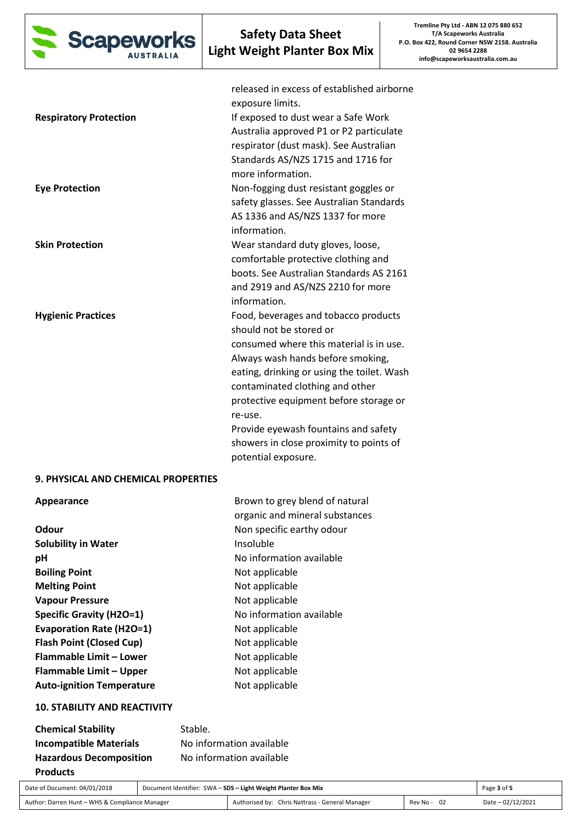

| <b>Respiratory Protection</b><br><b>Eye Protection</b> | released in excess of established airborne<br>exposure limits.<br>If exposed to dust wear a Safe Work<br>Australia approved P1 or P2 particulate<br>respirator (dust mask). See Australian<br>Standards AS/NZS 1715 and 1716 for<br>more information.<br>Non-fogging dust resistant goggles or<br>safety glasses. See Australian Standards<br>AS 1336 and AS/NZS 1337 for more                  |
|--------------------------------------------------------|-------------------------------------------------------------------------------------------------------------------------------------------------------------------------------------------------------------------------------------------------------------------------------------------------------------------------------------------------------------------------------------------------|
| <b>Skin Protection</b>                                 | information.<br>Wear standard duty gloves, loose,<br>comfortable protective clothing and<br>boots. See Australian Standards AS 2161<br>and 2919 and AS/NZS 2210 for more<br>information.                                                                                                                                                                                                        |
| <b>Hygienic Practices</b>                              | Food, beverages and tobacco products<br>should not be stored or<br>consumed where this material is in use.<br>Always wash hands before smoking,<br>eating, drinking or using the toilet. Wash<br>contaminated clothing and other<br>protective equipment before storage or<br>re-use.<br>Provide eyewash fountains and safety<br>showers in close proximity to points of<br>potential exposure. |
| 9. PHYSICAL AND CHEMICAL PROPERTIES                    |                                                                                                                                                                                                                                                                                                                                                                                                 |
| Appearance                                             | Brown to grey blend of natural<br>organic and mineral substances                                                                                                                                                                                                                                                                                                                                |
| Odour                                                  | Non specific earthy odour                                                                                                                                                                                                                                                                                                                                                                       |
| <b>Solubility in Water</b>                             | Insoluble                                                                                                                                                                                                                                                                                                                                                                                       |
| pH                                                     | No information available                                                                                                                                                                                                                                                                                                                                                                        |
| <b>Boiling Point</b>                                   | Not applicable                                                                                                                                                                                                                                                                                                                                                                                  |
| <b>Melting Point</b>                                   | Not applicable                                                                                                                                                                                                                                                                                                                                                                                  |
| <b>Vapour Pressure</b>                                 | Not applicable                                                                                                                                                                                                                                                                                                                                                                                  |
| <b>Specific Gravity (H2O=1)</b>                        | No information available                                                                                                                                                                                                                                                                                                                                                                        |
| <b>Evaporation Rate (H2O=1)</b>                        | Not applicable                                                                                                                                                                                                                                                                                                                                                                                  |

**Flammable Limit – Lower Not applicable Flammable Limit – Upper Mot applicable** Auto-ignition Temperature **Not applicable 10. STABILITY AND REACTIVITY** 

| <b>Chemical Stability</b>      | Stable.                  |
|--------------------------------|--------------------------|
| <b>Incompatible Materials</b>  | No information available |
| <b>Hazardous Decomposition</b> | No information available |
| <b>Products</b>                |                          |

**Flash Point (Closed Cup)** Not applicable

| Date of Document: 04/01/2018                   | Document Identifier: SWA - SDS - Light Weight Planter Box Mix |                                                 | Page 3 of 5      |                   |
|------------------------------------------------|---------------------------------------------------------------|-------------------------------------------------|------------------|-------------------|
| Author: Darren Hunt - WHS & Compliance Manager |                                                               | Authorised by: Chris Nattrass - General Manager | - 02<br>Rev No - | Date - 02/12/2021 |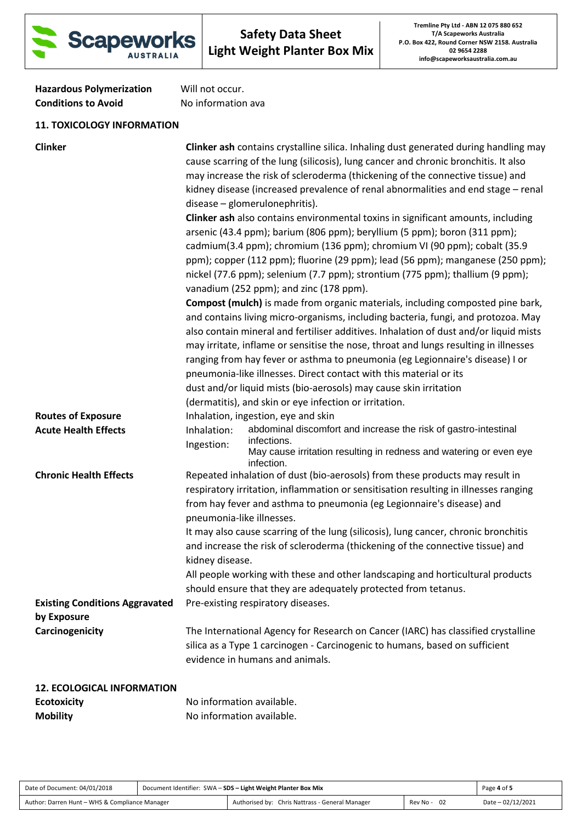

Hazardous Polymerization Will not occur. **Conditions to Avoid** No information ava

# **11. TOXICOLOGY INFORMATION**

| <b>Clinker</b>                                       | <b>Clinker ash contains crystalline silica. Inhaling dust generated during handling may</b><br>cause scarring of the lung (silicosis), lung cancer and chronic bronchitis. It also<br>may increase the risk of scleroderma (thickening of the connective tissue) and<br>kidney disease (increased prevalence of renal abnormalities and end stage - renal<br>disease - glomerulonephritis).<br>Clinker ash also contains environmental toxins in significant amounts, including<br>arsenic (43.4 ppm); barium (806 ppm); beryllium (5 ppm); boron (311 ppm);<br>cadmium(3.4 ppm); chromium (136 ppm); chromium VI (90 ppm); cobalt (35.9<br>ppm); copper (112 ppm); fluorine (29 ppm); lead (56 ppm); manganese (250 ppm);<br>nickel (77.6 ppm); selenium (7.7 ppm); strontium (775 ppm); thallium (9 ppm);<br>vanadium (252 ppm); and zinc (178 ppm).<br><b>Compost (mulch)</b> is made from organic materials, including composted pine bark,<br>and contains living micro-organisms, including bacteria, fungi, and protozoa. May<br>also contain mineral and fertiliser additives. Inhalation of dust and/or liquid mists<br>may irritate, inflame or sensitise the nose, throat and lungs resulting in illnesses<br>ranging from hay fever or asthma to pneumonia (eg Legionnaire's disease) I or<br>pneumonia-like illnesses. Direct contact with this material or its<br>dust and/or liquid mists (bio-aerosols) may cause skin irritation |
|------------------------------------------------------|---------------------------------------------------------------------------------------------------------------------------------------------------------------------------------------------------------------------------------------------------------------------------------------------------------------------------------------------------------------------------------------------------------------------------------------------------------------------------------------------------------------------------------------------------------------------------------------------------------------------------------------------------------------------------------------------------------------------------------------------------------------------------------------------------------------------------------------------------------------------------------------------------------------------------------------------------------------------------------------------------------------------------------------------------------------------------------------------------------------------------------------------------------------------------------------------------------------------------------------------------------------------------------------------------------------------------------------------------------------------------------------------------------------------------------------------------|
| <b>Routes of Exposure</b>                            | (dermatitis), and skin or eye infection or irritation.<br>Inhalation, ingestion, eye and skin                                                                                                                                                                                                                                                                                                                                                                                                                                                                                                                                                                                                                                                                                                                                                                                                                                                                                                                                                                                                                                                                                                                                                                                                                                                                                                                                                     |
| <b>Acute Health Effects</b>                          | abdominal discomfort and increase the risk of gastro-intestinal<br>Inhalation:<br>infections.<br>Ingestion:<br>May cause irritation resulting in redness and watering or even eye<br>infection.                                                                                                                                                                                                                                                                                                                                                                                                                                                                                                                                                                                                                                                                                                                                                                                                                                                                                                                                                                                                                                                                                                                                                                                                                                                   |
| <b>Chronic Health Effects</b>                        | Repeated inhalation of dust (bio-aerosols) from these products may result in<br>respiratory irritation, inflammation or sensitisation resulting in illnesses ranging<br>from hay fever and asthma to pneumonia (eg Legionnaire's disease) and<br>pneumonia-like illnesses.<br>It may also cause scarring of the lung (silicosis), lung cancer, chronic bronchitis<br>and increase the risk of scleroderma (thickening of the connective tissue) and<br>kidney disease.<br>All people working with these and other landscaping and horticultural products<br>should ensure that they are adequately protected from tetanus.                                                                                                                                                                                                                                                                                                                                                                                                                                                                                                                                                                                                                                                                                                                                                                                                                        |
| <b>Existing Conditions Aggravated</b><br>by Exposure | Pre-existing respiratory diseases.                                                                                                                                                                                                                                                                                                                                                                                                                                                                                                                                                                                                                                                                                                                                                                                                                                                                                                                                                                                                                                                                                                                                                                                                                                                                                                                                                                                                                |
| Carcinogenicity                                      | The International Agency for Research on Cancer (IARC) has classified crystalline<br>silica as a Type 1 carcinogen - Carcinogenic to humans, based on sufficient<br>evidence in humans and animals.                                                                                                                                                                                                                                                                                                                                                                                                                                                                                                                                                                                                                                                                                                                                                                                                                                                                                                                                                                                                                                                                                                                                                                                                                                               |
| <b>12. ECOLOGICAL INFORMATION</b>                    |                                                                                                                                                                                                                                                                                                                                                                                                                                                                                                                                                                                                                                                                                                                                                                                                                                                                                                                                                                                                                                                                                                                                                                                                                                                                                                                                                                                                                                                   |
| <b>Ecotoxicity</b>                                   | No information available.                                                                                                                                                                                                                                                                                                                                                                                                                                                                                                                                                                                                                                                                                                                                                                                                                                                                                                                                                                                                                                                                                                                                                                                                                                                                                                                                                                                                                         |

**Mobility Mobility No information available.** 

| Date of Document: 04/01/2018                   | Document Identifier: SWA - SDS - Light Weight Planter Box Mix |                                                 |             | Page 4 of 5        |
|------------------------------------------------|---------------------------------------------------------------|-------------------------------------------------|-------------|--------------------|
| Author: Darren Hunt - WHS & Compliance Manager |                                                               | Authorised by: Chris Nattrass - General Manager | Rev No - 02 | Date $-02/12/2021$ |